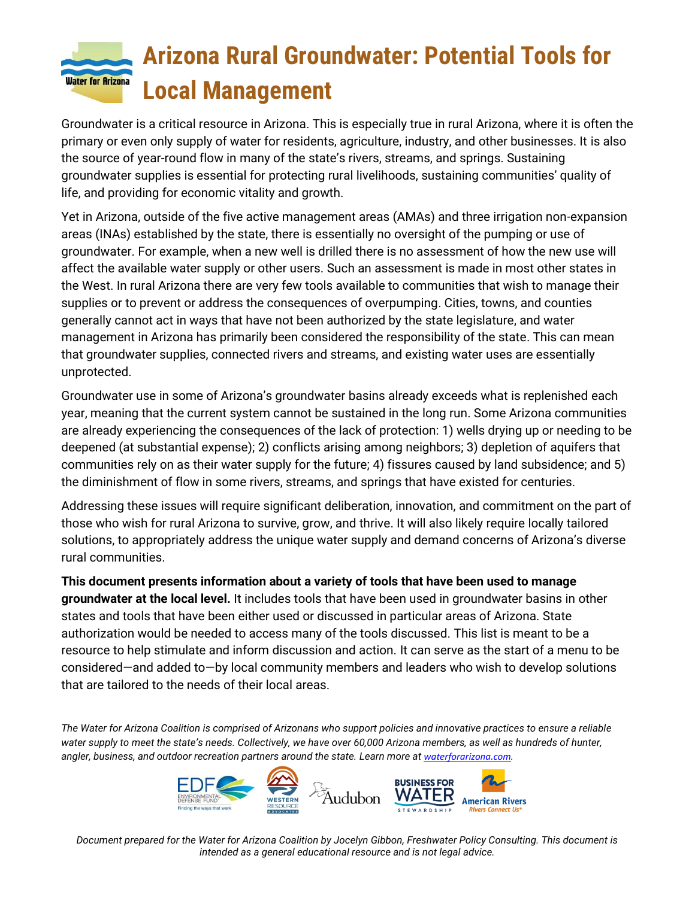# **Arizona Rural Groundwater: Potential Tools for Water for Arizona Local Management**

Groundwater is a critical resource in Arizona. This is especially true in rural Arizona, where it is often the primary or even only supply of water for residents, agriculture, industry, and other businesses. It is also the source of year-round flow in many of the state's rivers, streams, and springs. Sustaining groundwater supplies is essential for protecting rural livelihoods, sustaining communities' quality of life, and providing for economic vitality and growth.

Yet in Arizona, outside of the five active management areas (AMAs) and three irrigation non-expansion areas (INAs) established by the state, there is essentially no oversight of the pumping or use of groundwater. For example, when a new well is drilled there is no assessment of how the new use will affect the available water supply or other users. Such an assessment is made in most other states in the West. In rural Arizona there are very few tools available to communities that wish to manage their supplies or to prevent or address the consequences of overpumping. Cities, towns, and counties generally cannot act in ways that have not been authorized by the state legislature, and water management in Arizona has primarily been considered the responsibility of the state. This can mean that groundwater supplies, connected rivers and streams, and existing water uses are essentially unprotected.

Groundwater use in some of Arizona's groundwater basins already exceeds what is replenished each year, meaning that the current system cannot be sustained in the long run. Some Arizona communities are already experiencing the consequences of the lack of protection: 1) wells drying up or needing to be deepened (at substantial expense); 2) conflicts arising among neighbors; 3) depletion of aquifers that communities rely on as their water supply for the future; 4) fissures caused by land subsidence; and 5) the diminishment of flow in some rivers, streams, and springs that have existed for centuries.

Addressing these issues will require significant deliberation, innovation, and commitment on the part of those who wish for rural Arizona to survive, grow, and thrive. It will also likely require locally tailored solutions, to appropriately address the unique water supply and demand concerns of Arizona's diverse rural communities.

**This document presents information about a variety of tools that have been used to manage groundwater at the local level.** It includes tools that have been used in groundwater basins in other states and tools that have been either used or discussed in particular areas of Arizona. State authorization would be needed to access many of the tools discussed. This list is meant to be a resource to help stimulate and inform discussion and action. It can serve as the start of a menu to be considered—and added to—by local community members and leaders who wish to develop solutions that are tailored to the needs of their local areas.

*The Water for Arizona Coalition is comprised of Arizonans who support policies and innovative practices to ensure a reliable water supply to meet the state's needs. Collectively, we have over 60,000 Arizona members, as well as hundreds of hunter, angler, business, and outdoor recreation partners around the state. Learn more at [waterforarizona.com](https://www.waterforarizona.com/).*



*Document prepared for the Water for Arizona Coalition by Jocelyn Gibbon, Freshwater Policy Consulting. This document is intended as a general educational resource and is not legal advice.*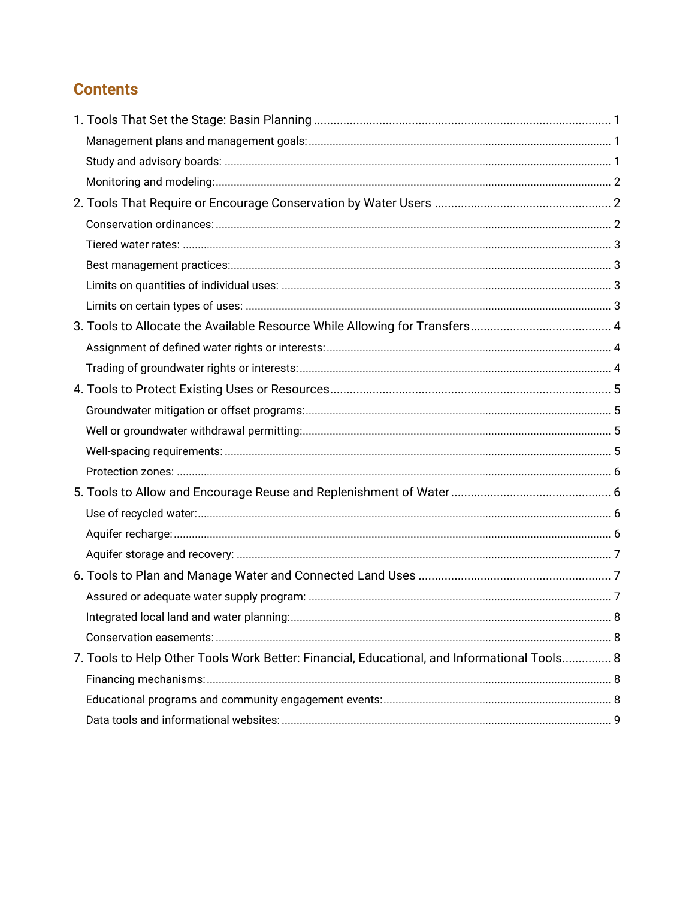#### **Contents**

| 7. Tools to Help Other Tools Work Better: Financial, Educational, and Informational Tools 8 |  |
|---------------------------------------------------------------------------------------------|--|
|                                                                                             |  |
|                                                                                             |  |
|                                                                                             |  |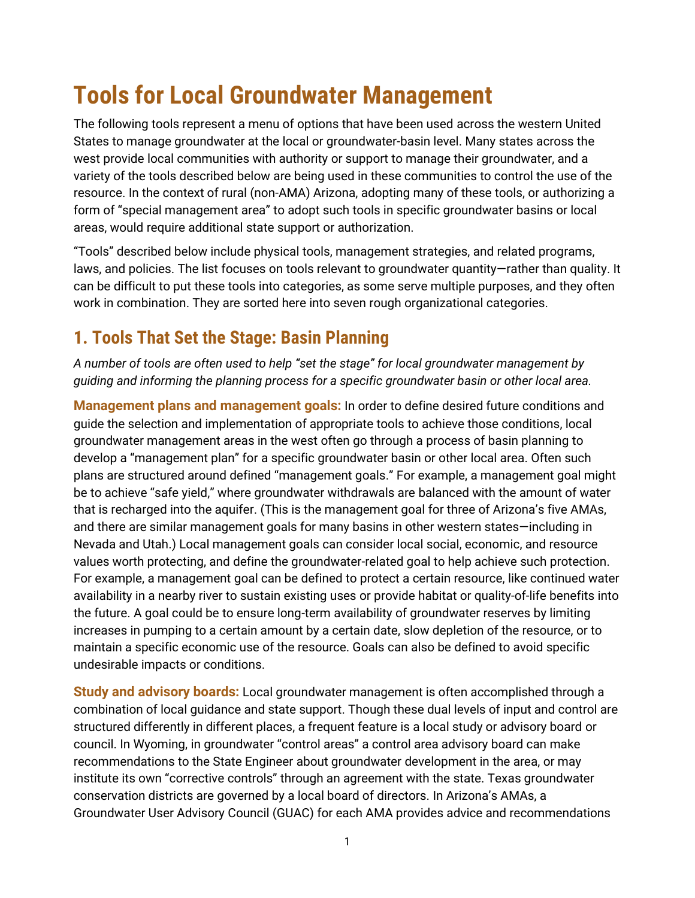# **Tools for Local Groundwater Management**

The following tools represent a menu of options that have been used across the western United States to manage groundwater at the local or groundwater-basin level. Many states across the west provide local communities with authority or support to manage their groundwater, and a variety of the tools described below are being used in these communities to control the use of the resource. In the context of rural (non-AMA) Arizona, adopting many of these tools, or authorizing a form of "special management area" to adopt such tools in specific groundwater basins or local areas, would require additional state support or authorization.

"Tools" described below include physical tools, management strategies, and related programs, laws, and policies. The list focuses on tools relevant to groundwater quantity—rather than quality. It can be difficult to put these tools into categories, as some serve multiple purposes, and they often work in combination. They are sorted here into seven rough organizational categories.

## <span id="page-2-0"></span>**1. Tools That Set the Stage: Basin Planning**

*A number of tools are often used to help "set the stage" for local groundwater management by guiding and informing the planning process for a specific groundwater basin or other local area.*

<span id="page-2-1"></span>**Management plans and management goals:** In order to define desired future conditions and guide the selection and implementation of appropriate tools to achieve those conditions, local groundwater management areas in the west often go through a process of basin planning to develop a "management plan" for a specific groundwater basin or other local area. Often such plans are structured around defined "management goals." For example, a management goal might be to achieve "safe yield," where groundwater withdrawals are balanced with the amount of water that is recharged into the aquifer. (This is the management goal for three of Arizona's five AMAs, and there are similar management goals for many basins in other western states—including in Nevada and Utah.) Local management goals can consider local social, economic, and resource values worth protecting, and define the groundwater-related goal to help achieve such protection. For example, a management goal can be defined to protect a certain resource, like continued water availability in a nearby river to sustain existing uses or provide habitat or quality-of-life benefits into the future. A goal could be to ensure long-term availability of groundwater reserves by limiting increases in pumping to a certain amount by a certain date, slow depletion of the resource, or to maintain a specific economic use of the resource. Goals can also be defined to avoid specific undesirable impacts or conditions.

<span id="page-2-2"></span>**Study and advisory boards:** Local groundwater management is often accomplished through a combination of local guidance and state support. Though these dual levels of input and control are structured differently in different places, a frequent feature is a local study or advisory board or council. In Wyoming, in groundwater "control areas" a control area advisory board can make recommendations to the State Engineer about groundwater development in the area, or may institute its own "corrective controls" through an agreement with the state. Texas groundwater conservation districts are governed by a local board of directors. In Arizona's AMAs, a Groundwater User Advisory Council (GUAC) for each AMA provides advice and recommendations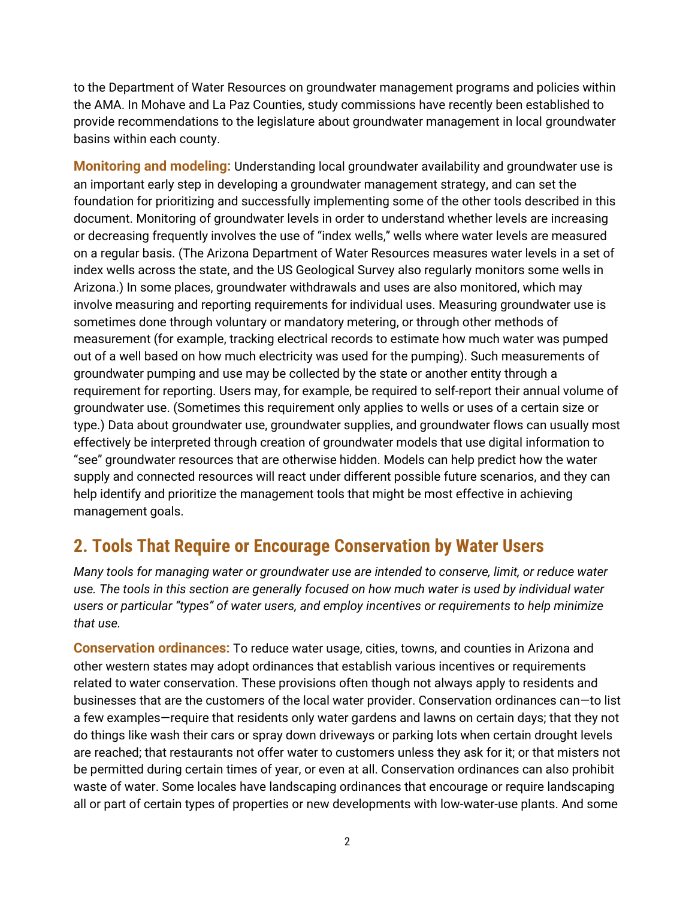to the Department of Water Resources on groundwater management programs and policies within the AMA. In Mohave and La Paz Counties, study commissions have recently been established to provide recommendations to the legislature about groundwater management in local groundwater basins within each county.

<span id="page-3-0"></span>**Monitoring and modeling:** Understanding local groundwater availability and groundwater use is an important early step in developing a groundwater management strategy, and can set the foundation for prioritizing and successfully implementing some of the other tools described in this document. Monitoring of groundwater levels in order to understand whether levels are increasing or decreasing frequently involves the use of "index wells," wells where water levels are measured on a regular basis. (The Arizona Department of Water Resources measures water levels in a set of index wells across the state, and the US Geological Survey also regularly monitors some wells in Arizona.) In some places, groundwater withdrawals and uses are also monitored, which may involve measuring and reporting requirements for individual uses. Measuring groundwater use is sometimes done through voluntary or mandatory metering, or through other methods of measurement (for example, tracking electrical records to estimate how much water was pumped out of a well based on how much electricity was used for the pumping). Such measurements of groundwater pumping and use may be collected by the state or another entity through a requirement for reporting. Users may, for example, be required to self-report their annual volume of groundwater use. (Sometimes this requirement only applies to wells or uses of a certain size or type.) Data about groundwater use, groundwater supplies, and groundwater flows can usually most effectively be interpreted through creation of groundwater models that use digital information to "see" groundwater resources that are otherwise hidden. Models can help predict how the water supply and connected resources will react under different possible future scenarios, and they can help identify and prioritize the management tools that might be most effective in achieving management goals.

## <span id="page-3-1"></span>**2. Tools That Require or Encourage Conservation by Water Users**

*Many tools for managing water or groundwater use are intended to conserve, limit, or reduce water use. The tools in this section are generally focused on how much water is used by individual water users or particular "types" of water users, and employ incentives or requirements to help minimize that use.*

<span id="page-3-2"></span>**Conservation ordinances:** To reduce water usage, cities, towns, and counties in Arizona and other western states may adopt ordinances that establish various incentives or requirements related to water conservation. These provisions often though not always apply to residents and businesses that are the customers of the local water provider. Conservation ordinances can—to list a few examples—require that residents only water gardens and lawns on certain days; that they not do things like wash their cars or spray down driveways or parking lots when certain drought levels are reached; that restaurants not offer water to customers unless they ask for it; or that misters not be permitted during certain times of year, or even at all. Conservation ordinances can also prohibit waste of water. Some locales have landscaping ordinances that encourage or require landscaping all or part of certain types of properties or new developments with low-water-use plants. And some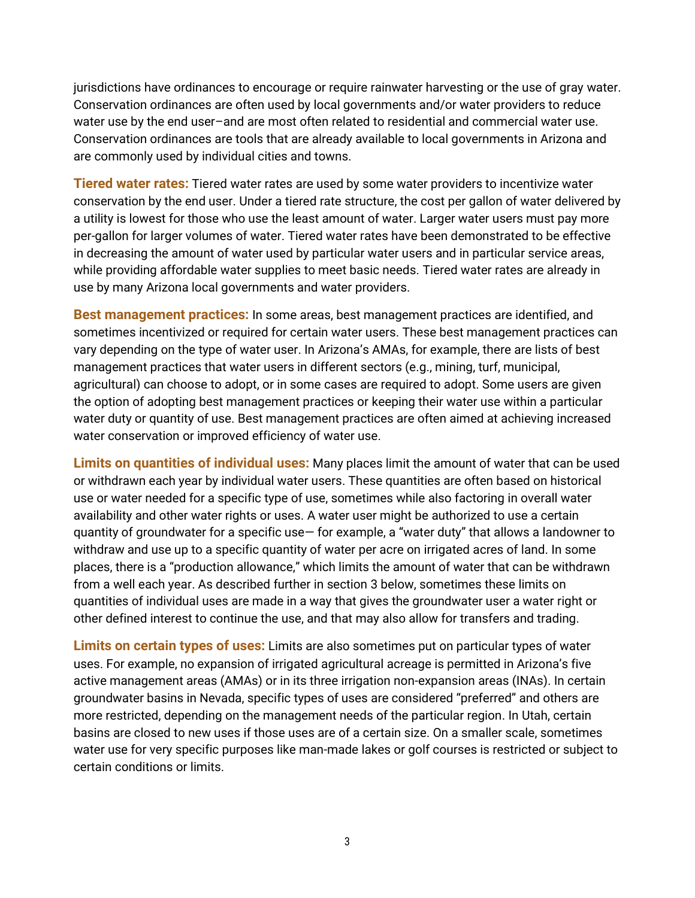jurisdictions have ordinances to encourage or require rainwater harvesting or the use of gray water. Conservation ordinances are often used by local governments and/or water providers to reduce water use by the end user–and are most often related to residential and commercial water use. Conservation ordinances are tools that are already available to local governments in Arizona and are commonly used by individual cities and towns.

<span id="page-4-0"></span>**Tiered water rates:** Tiered water rates are used by some water providers to incentivize water conservation by the end user. Under a tiered rate structure, the cost per gallon of water delivered by a utility is lowest for those who use the least amount of water. Larger water users must pay more per-gallon for larger volumes of water. Tiered water rates have been demonstrated to be effective in decreasing the amount of water used by particular water users and in particular service areas, while providing affordable water supplies to meet basic needs. Tiered water rates are already in use by many Arizona local governments and water providers.

<span id="page-4-1"></span>**Best management practices:** In some areas, best management practices are identified, and sometimes incentivized or required for certain water users. These best management practices can vary depending on the type of water user. In Arizona's AMAs, for example, there are lists of best management practices that water users in different sectors (e.g., mining, turf, municipal, agricultural) can choose to adopt, or in some cases are required to adopt. Some users are given the option of adopting best management practices or keeping their water use within a particular water duty or quantity of use. Best management practices are often aimed at achieving increased water conservation or improved efficiency of water use.

<span id="page-4-2"></span>**Limits on quantities of individual uses:** Many places limit the amount of water that can be used or withdrawn each year by individual water users. These quantities are often based on historical use or water needed for a specific type of use, sometimes while also factoring in overall water availability and other water rights or uses. A water user might be authorized to use a certain quantity of groundwater for a specific use— for example, a "water duty" that allows a landowner to withdraw and use up to a specific quantity of water per acre on irrigated acres of land. In some places, there is a "production allowance," which limits the amount of water that can be withdrawn from a well each year. As described further in section 3 below, sometimes these limits on quantities of individual uses are made in a way that gives the groundwater user a water right or other defined interest to continue the use, and that may also allow for transfers and trading.

<span id="page-4-4"></span><span id="page-4-3"></span>**Limits on certain types of uses:** Limits are also sometimes put on particular types of water uses. For example, no expansion of irrigated agricultural acreage is permitted in Arizona's five active management areas (AMAs) or in its three irrigation non-expansion areas (INAs). In certain groundwater basins in Nevada, specific types of uses are considered "preferred" and others are more restricted, depending on the management needs of the particular region. In Utah, certain basins are closed to new uses if those uses are of a certain size. On a smaller scale, sometimes water use for very specific purposes like man-made lakes or golf courses is restricted or subject to certain conditions or limits.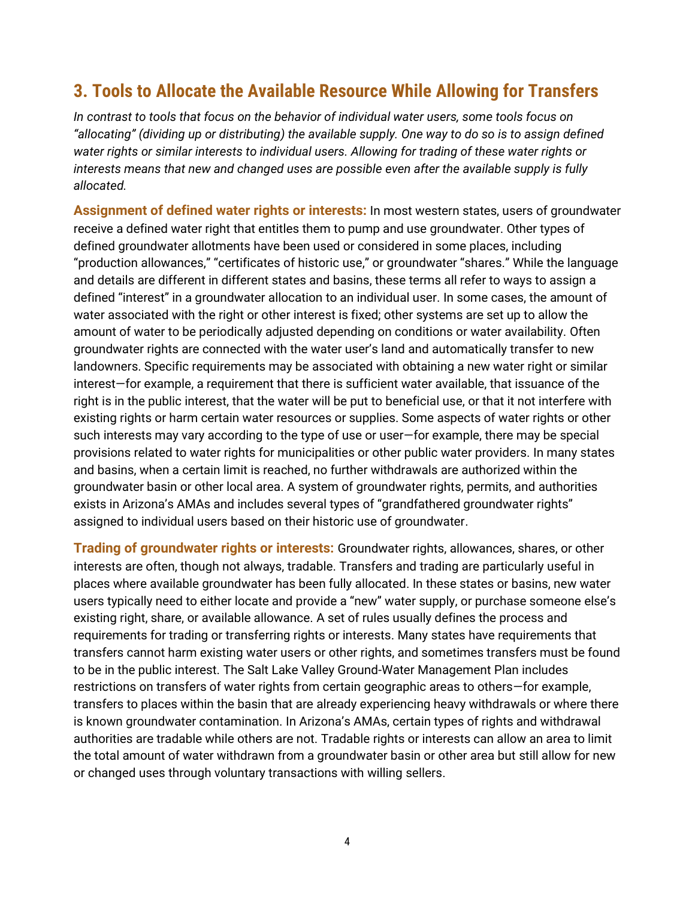### **3. Tools to Allocate the Available Resource While Allowing for Transfers**

*In contrast to tools that focus on the behavior of individual water users, some tools focus on "allocating" (dividing up or distributing) the available supply. One way to do so is to assign defined water rights or similar interests to individual users. Allowing for trading of these water rights or interests means that new and changed uses are possible even after the available supply is fully allocated.*

<span id="page-5-0"></span>**Assignment of defined water rights or interests:** In most western states, users of groundwater receive a defined water right that entitles them to pump and use groundwater. Other types of defined groundwater allotments have been used or considered in some places, including "production allowances," "certificates of historic use," or groundwater "shares." While the language and details are different in different states and basins, these terms all refer to ways to assign a defined "interest" in a groundwater allocation to an individual user. In some cases, the amount of water associated with the right or other interest is fixed; other systems are set up to allow the amount of water to be periodically adjusted depending on conditions or water availability. Often groundwater rights are connected with the water user's land and automatically transfer to new landowners. Specific requirements may be associated with obtaining a new water right or similar interest—for example, a requirement that there is sufficient water available, that issuance of the right is in the public interest, that the water will be put to beneficial use, or that it not interfere with existing rights or harm certain water resources or supplies. Some aspects of water rights or other such interests may vary according to the type of use or user—for example, there may be special provisions related to water rights for municipalities or other public water providers. In many states and basins, when a certain limit is reached, no further withdrawals are authorized within the groundwater basin or other local area. A system of groundwater rights, permits, and authorities exists in Arizona's AMAs and includes several types of "grandfathered groundwater rights" assigned to individual users based on their historic use of groundwater.

<span id="page-5-1"></span>**Trading of groundwater rights or interests:** Groundwater rights, allowances, shares, or other interests are often, though not always, tradable. Transfers and trading are particularly useful in places where available groundwater has been fully allocated. In these states or basins, new water users typically need to either locate and provide a "new" water supply, or purchase someone else's existing right, share, or available allowance. A set of rules usually defines the process and requirements for trading or transferring rights or interests. Many states have requirements that transfers cannot harm existing water users or other rights, and sometimes transfers must be found to be in the public interest. The Salt Lake Valley Ground-Water Management Plan includes restrictions on transfers of water rights from certain geographic areas to others—for example, transfers to places within the basin that are already experiencing heavy withdrawals or where there is known groundwater contamination. In Arizona's AMAs, certain types of rights and withdrawal authorities are tradable while others are not. Tradable rights or interests can allow an area to limit the total amount of water withdrawn from a groundwater basin or other area but still allow for new or changed uses through voluntary transactions with willing sellers.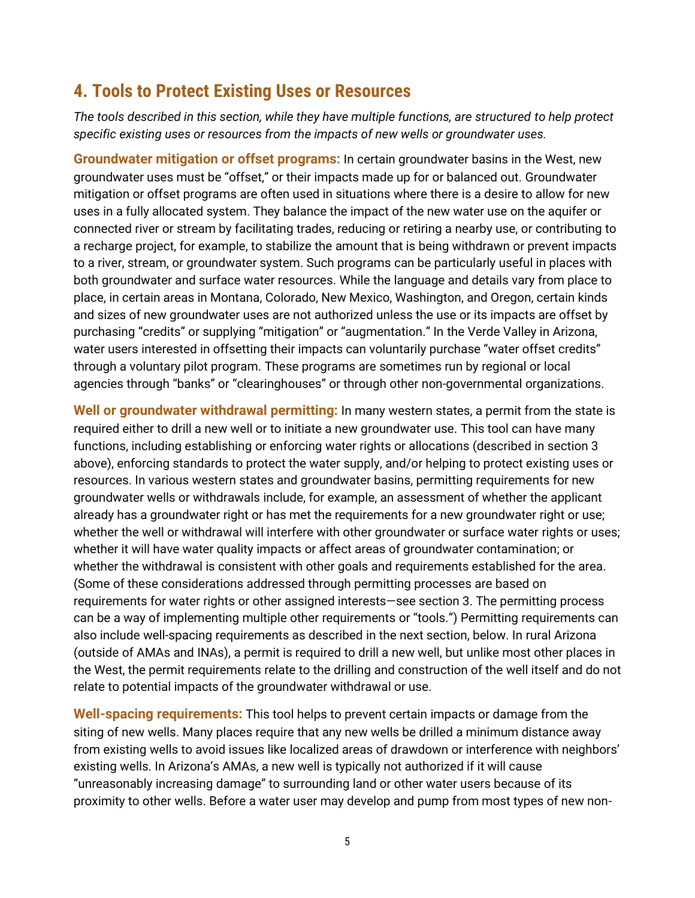### <span id="page-6-0"></span>**4. Tools to Protect Existing Uses or Resources**

*The tools described in this section, while they have multiple functions, are structured to help protect specific existing uses or resources from the impacts of new wells or groundwater uses.* 

<span id="page-6-1"></span>**Groundwater mitigation or offset programs:** In certain groundwater basins in the West, new groundwater uses must be "offset," or their impacts made up for or balanced out. Groundwater mitigation or offset programs are often used in situations where there is a desire to allow for new uses in a fully allocated system. They balance the impact of the new water use on the aquifer or connected river or stream by facilitating trades, reducing or retiring a nearby use, or contributing to a recharge project, for example, to stabilize the amount that is being withdrawn or prevent impacts to a river, stream, or groundwater system. Such programs can be particularly useful in places with both groundwater and surface water resources. While the language and details vary from place to place, in certain areas in Montana, Colorado, New Mexico, Washington, and Oregon, certain kinds and sizes of new groundwater uses are not authorized unless the use or its impacts are offset by purchasing "credits" or supplying "mitigation" or "augmentation." In the Verde Valley in Arizona, water users interested in offsetting their impacts can voluntarily purchase "water offset credits" through a voluntary pilot program. These programs are sometimes run by regional or local agencies through "banks" or "clearinghouses" or through other non-governmental organizations.

<span id="page-6-2"></span>**Well or groundwater withdrawal permitting:** In many western states, a permit from the state is required either to drill a new well or to initiate a new groundwater use. This tool can have many functions, including establishing or enforcing water rights or allocations (described in section 3 above), enforcing standards to protect the water supply, and/or helping to protect existing uses or resources. In various western states and groundwater basins, permitting requirements for new groundwater wells or withdrawals include, for example, an assessment of whether the applicant already has a groundwater right or has met the requirements for a new groundwater right or use; whether the well or withdrawal will interfere with other groundwater or surface water rights or uses; whether it will have water quality impacts or affect areas of groundwater contamination; or whether the withdrawal is consistent with other goals and requirements established for the area. (Some of these considerations addressed through permitting processes are based on requirements for water rights or other assigned interests—see section 3. The permitting process can be a way of implementing multiple other requirements or "tools.") Permitting requirements can also include well-spacing requirements as described in the next section, below. In rural Arizona (outside of AMAs and INAs), a permit is required to drill a new well, but unlike most other places in the West, the permit requirements relate to the drilling and construction of the well itself and do not relate to potential impacts of the groundwater withdrawal or use.

<span id="page-6-3"></span>**Well-spacing requirements:** This tool helps to prevent certain impacts or damage from the siting of new wells. Many places require that any new wells be drilled a minimum distance away from existing wells to avoid issues like localized areas of drawdown or interference with neighbors' existing wells. In Arizona's AMAs, a new well is typically not authorized if it will cause "unreasonably increasing damage" to surrounding land or other water users because of its proximity to other wells. Before a water user may develop and pump from most types of new non-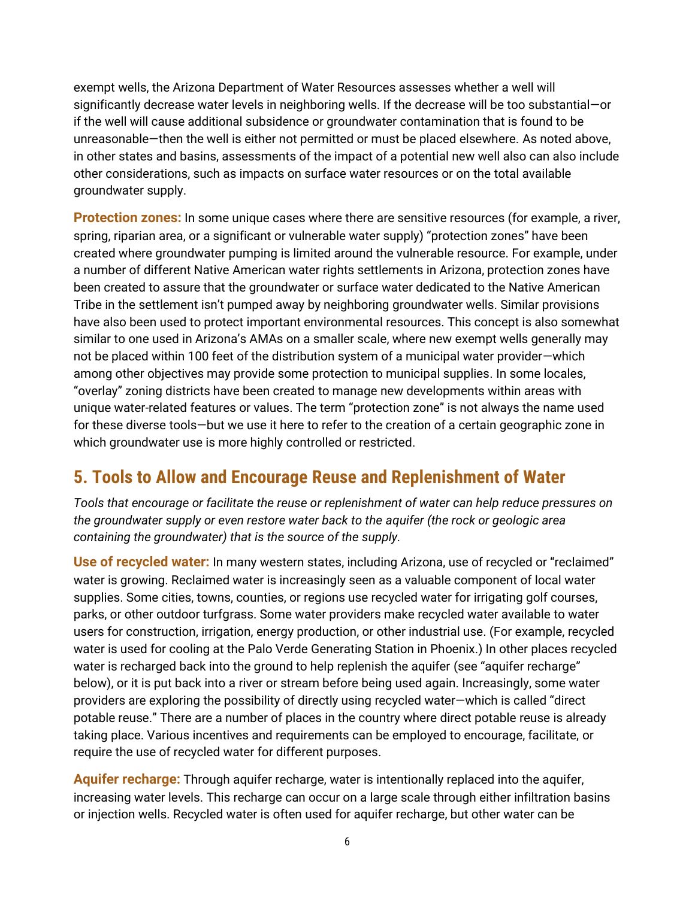exempt wells, the Arizona Department of Water Resources assesses whether a well will significantly decrease water levels in neighboring wells. If the decrease will be too substantial—or if the well will cause additional subsidence or groundwater contamination that is found to be unreasonable—then the well is either not permitted or must be placed elsewhere. As noted above, in other states and basins, assessments of the impact of a potential new well also can also include other considerations, such as impacts on surface water resources or on the total available groundwater supply.

<span id="page-7-0"></span>**Protection zones:** In some unique cases where there are sensitive resources (for example, a river, spring, riparian area, or a significant or vulnerable water supply) "protection zones" have been created where groundwater pumping is limited around the vulnerable resource. For example, under a number of different Native American water rights settlements in Arizona, protection zones have been created to assure that the groundwater or surface water dedicated to the Native American Tribe in the settlement isn't pumped away by neighboring groundwater wells. Similar provisions have also been used to protect important environmental resources. This concept is also somewhat similar to one used in Arizona's AMAs on a smaller scale, where new exempt wells generally may not be placed within 100 feet of the distribution system of a municipal water provider—which among other objectives may provide some protection to municipal supplies. In some locales, "overlay" zoning districts have been created to manage new developments within areas with unique water-related features or values. The term "protection zone" is not always the name used for these diverse tools—but we use it here to refer to the creation of a certain geographic zone in which groundwater use is more highly controlled or restricted.

#### <span id="page-7-1"></span>**5. Tools to Allow and Encourage Reuse and Replenishment of Water**

*Tools that encourage or facilitate the reuse or replenishment of water can help reduce pressures on the groundwater supply or even restore water back to the aquifer (the rock or geologic area containing the groundwater) that is the source of the supply.*

<span id="page-7-2"></span>**Use of recycled water:** In many western states, including Arizona, use of recycled or "reclaimed" water is growing. Reclaimed water is increasingly seen as a valuable component of local water supplies. Some cities, towns, counties, or regions use recycled water for irrigating golf courses, parks, or other outdoor turfgrass. Some water providers make recycled water available to water users for construction, irrigation, energy production, or other industrial use. (For example, recycled water is used for cooling at the Palo Verde Generating Station in Phoenix.) In other places recycled water is recharged back into the ground to help replenish the aquifer (see "aquifer recharge" below), or it is put back into a river or stream before being used again. Increasingly, some water providers are exploring the possibility of directly using recycled water—which is called "direct potable reuse." There are a number of places in the country where direct potable reuse is already taking place. Various incentives and requirements can be employed to encourage, facilitate, or require the use of recycled water for different purposes.

<span id="page-7-3"></span>**Aquifer recharge:** Through aquifer recharge, water is intentionally replaced into the aquifer, increasing water levels. This recharge can occur on a large scale through either infiltration basins or injection wells. Recycled water is often used for aquifer recharge, but other water can be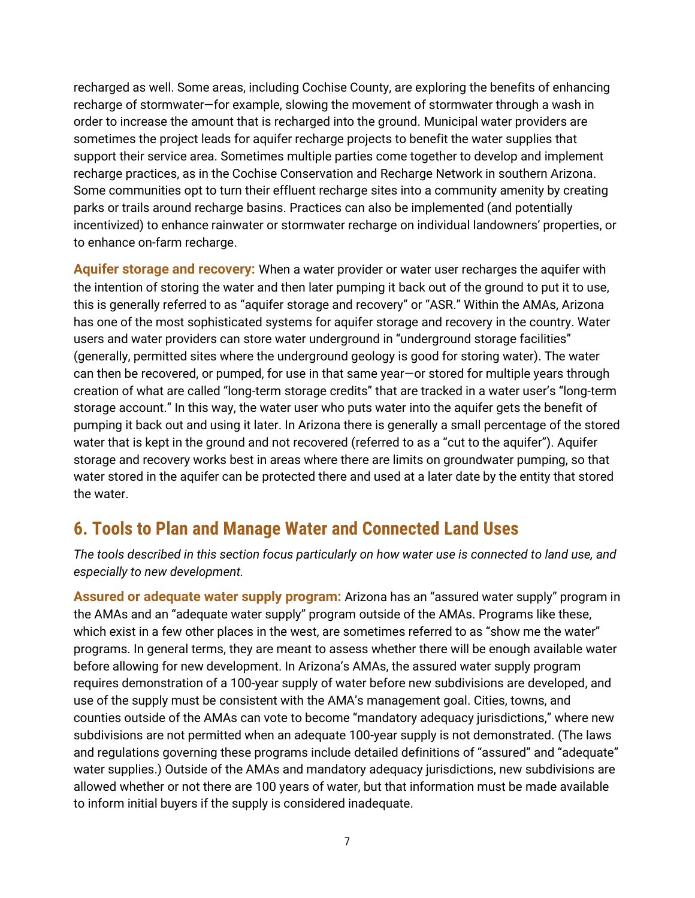recharged as well. Some areas, including Cochise County, are exploring the benefits of enhancing recharge of stormwater—for example, slowing the movement of stormwater through a wash in order to increase the amount that is recharged into the ground. Municipal water providers are sometimes the project leads for aquifer recharge projects to benefit the water supplies that support their service area. Sometimes multiple parties come together to develop and implement recharge practices, as in the Cochise Conservation and Recharge Network in southern Arizona. Some communities opt to turn their effluent recharge sites into a community amenity by creating parks or trails around recharge basins. Practices can also be implemented (and potentially incentivized) to enhance rainwater or stormwater recharge on individual landowners' properties, or to enhance on-farm recharge.

<span id="page-8-0"></span>**Aquifer storage and recovery:** When a water provider or water user recharges the aquifer with the intention of storing the water and then later pumping it back out of the ground to put it to use, this is generally referred to as "aquifer storage and recovery" or "ASR." Within the AMAs, Arizona has one of the most sophisticated systems for aquifer storage and recovery in the country. Water users and water providers can store water underground in "underground storage facilities" (generally, permitted sites where the underground geology is good for storing water). The water can then be recovered, or pumped, for use in that same year—or stored for multiple years through creation of what are called "long-term storage credits" that are tracked in a water user's "long-term storage account." In this way, the water user who puts water into the aquifer gets the benefit of pumping it back out and using it later. In Arizona there is generally a small percentage of the stored water that is kept in the ground and not recovered (referred to as a "cut to the aquifer"). Aquifer storage and recovery works best in areas where there are limits on groundwater pumping, so that water stored in the aquifer can be protected there and used at a later date by the entity that stored the water.

#### <span id="page-8-1"></span>**6. Tools to Plan and Manage Water and Connected Land Uses**

*The tools described in this section focus particularly on how water use is connected to land use, and especially to new development.*

<span id="page-8-2"></span>**Assured or adequate water supply program:** Arizona has an "assured water supply" program in the AMAs and an "adequate water supply" program outside of the AMAs. Programs like these, which exist in a few other places in the west, are sometimes referred to as "show me the water" programs. In general terms, they are meant to assess whether there will be enough available water before allowing for new development. In Arizona's AMAs, the assured water supply program requires demonstration of a 100-year supply of water before new subdivisions are developed, and use of the supply must be consistent with the AMA's management goal. Cities, towns, and counties outside of the AMAs can vote to become "mandatory adequacy jurisdictions," where new subdivisions are not permitted when an adequate 100-year supply is not demonstrated. (The laws and regulations governing these programs include detailed definitions of "assured" and "adequate" water supplies.) Outside of the AMAs and mandatory adequacy jurisdictions, new subdivisions are allowed whether or not there are 100 years of water, but that information must be made available to inform initial buyers if the supply is considered inadequate.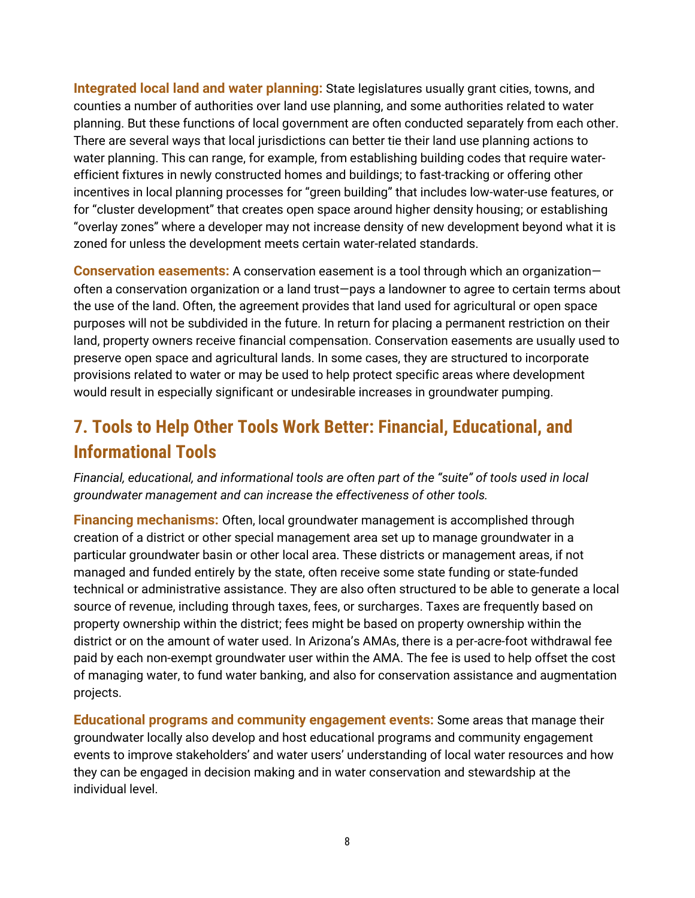<span id="page-9-0"></span>**Integrated local land and water planning:** State legislatures usually grant cities, towns, and counties a number of authorities over land use planning, and some authorities related to water planning. But these functions of local government are often conducted separately from each other. There are several ways that local jurisdictions can better tie their land use planning actions to water planning. This can range, for example, from establishing building codes that require waterefficient fixtures in newly constructed homes and buildings; to fast-tracking or offering other incentives in local planning processes for "green building" that includes low-water-use features, or for "cluster development" that creates open space around higher density housing; or establishing "overlay zones" where a developer may not increase density of new development beyond what it is zoned for unless the development meets certain water-related standards.

<span id="page-9-1"></span>**Conservation easements:** A conservation easement is a tool through which an organization often a conservation organization or a land trust—pays a landowner to agree to certain terms about the use of the land. Often, the agreement provides that land used for agricultural or open space purposes will not be subdivided in the future. In return for placing a permanent restriction on their land, property owners receive financial compensation. Conservation easements are usually used to preserve open space and agricultural lands. In some cases, they are structured to incorporate provisions related to water or may be used to help protect specific areas where development would result in especially significant or undesirable increases in groundwater pumping.

# <span id="page-9-2"></span>**7. Tools to Help Other Tools Work Better: Financial, Educational, and Informational Tools**

*Financial, educational, and informational tools are often part of the "suite" of tools used in local groundwater management and can increase the effectiveness of other tools.*

<span id="page-9-3"></span>**Financing mechanisms:** Often, local groundwater management is accomplished through creation of a district or other special management area set up to manage groundwater in a particular groundwater basin or other local area. These districts or management areas, if not managed and funded entirely by the state, often receive some state funding or state-funded technical or administrative assistance. They are also often structured to be able to generate a local source of revenue, including through taxes, fees, or surcharges. Taxes are frequently based on property ownership within the district; fees might be based on property ownership within the district or on the amount of water used. In Arizona's AMAs, there is a per-acre-foot withdrawal fee paid by each non-exempt groundwater user within the AMA. The fee is used to help offset the cost of managing water, to fund water banking, and also for conservation assistance and augmentation projects.

<span id="page-9-4"></span>**Educational programs and community engagement events:** Some areas that manage their groundwater locally also develop and host educational programs and community engagement events to improve stakeholders' and water users' understanding of local water resources and how they can be engaged in decision making and in water conservation and stewardship at the individual level.